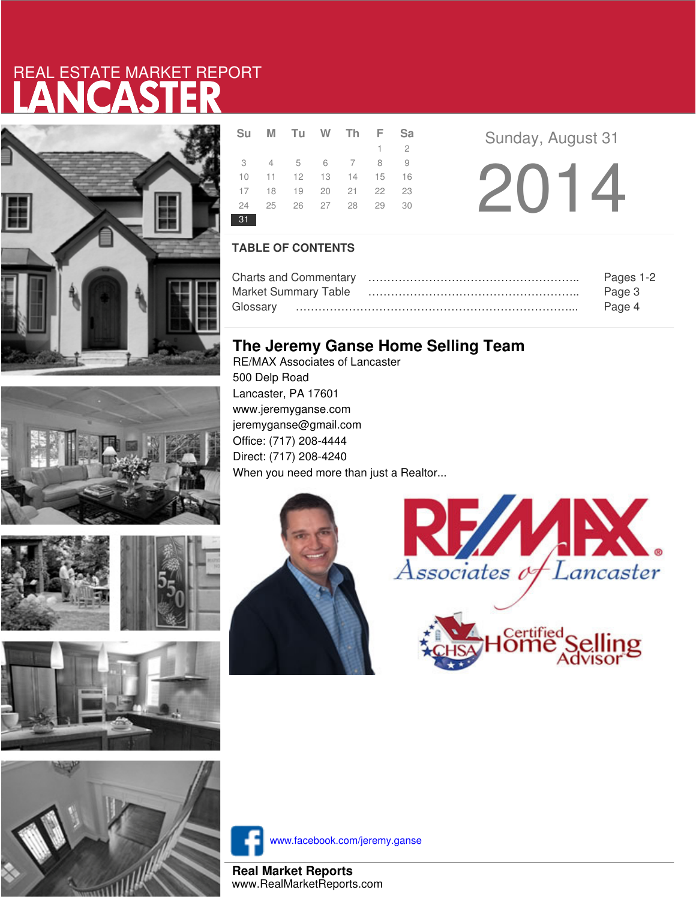# LANCASTER REAL ESTATE MARKET REPORT





|    | Su M Tu W Th F              |  | <b>Sa</b>   |
|----|-----------------------------|--|-------------|
|    |                             |  | $1 \quad 2$ |
|    | 3 4 5 6 7 8 9               |  |             |
|    | 10 11 12 13 14 15           |  | 16          |
|    | 17 18 19 20 21 22 23        |  |             |
|    | 24   25   26   27   28   29 |  | 30          |
| 31 |                             |  |             |

**a Sunday, August 31** 

2014

### **TABLE OF CONTENTS**

|                             | Pages 1-2 |
|-----------------------------|-----------|
| <b>Market Summary Table</b> | Page 3    |
|                             | Page 4    |

## **The Jeremy Ganse Home Selling Team**

RE/MAX Associates of Lancaster 500 Delp Road Lancaster, PA 17601 www.jeremyganse.com jeremyganse@gmail.com Office: (717) 208-4444 Direct: (717) 208-4240 When you need more than just a Realtor...









www.facebook.com/jeremy.ganse

**Real Market Reports** www.RealMarketReports.com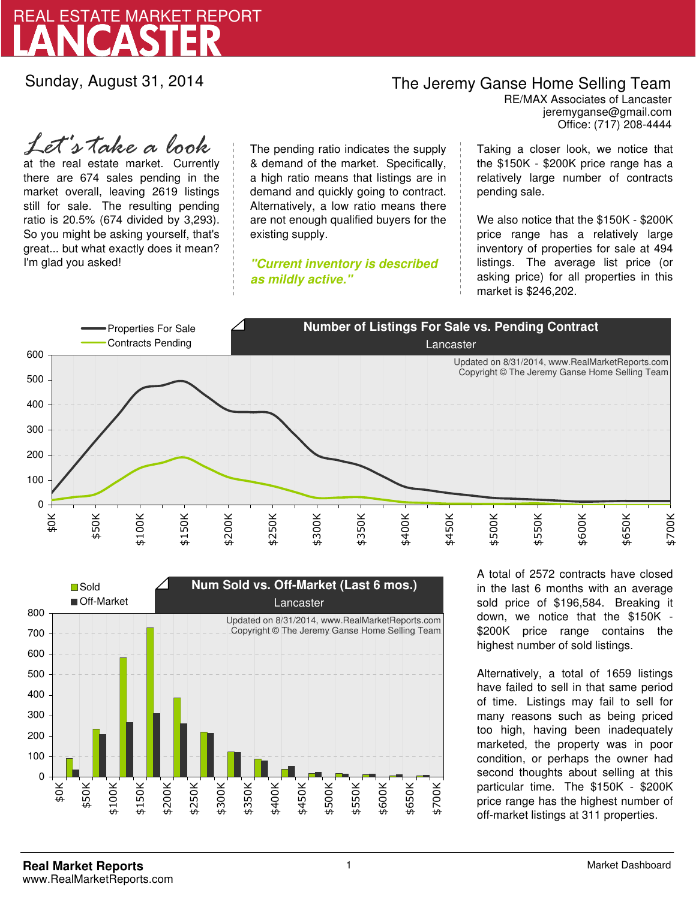

Sunday, August 31, 2014

## The Jeremy Ganse Home Selling Team

jeremyganse@gmail.com RE/MAX Associates of Lancaster Office: (717) 208-4444

at the real estate market. Currently there are 674 sales pending in the market overall, leaving 2619 listings still for sale. The resulting pending ratio is 20.5% (674 divided by 3,293). So you might be asking yourself, that's great... but what exactly does it mean? I'm glad you asked! *Let's take a look*

The pending ratio indicates the supply & demand of the market. Specifically, a high ratio means that listings are in demand and quickly going to contract. Alternatively, a low ratio means there are not enough qualified buyers for the existing supply.

**"Current inventory is described as mildly active."**

Taking a closer look, we notice that the \$150K - \$200K price range has a relatively large number of contracts pending sale.

We also notice that the \$150K - \$200K price range has a relatively large inventory of properties for sale at 494 listings. The average list price (or asking price) for all properties in this market is \$246,202.





A total of 2572 contracts have closed in the last 6 months with an average sold price of \$196,584. Breaking it down, we notice that the \$150K - \$200K price range contains the highest number of sold listings.

Alternatively, a total of 1659 listings have failed to sell in that same period of time. Listings may fail to sell for many reasons such as being priced too high, having been inadequately marketed, the property was in poor condition, or perhaps the owner had second thoughts about selling at this particular time. The \$150K - \$200K price range has the highest number of off-market listings at 311 properties.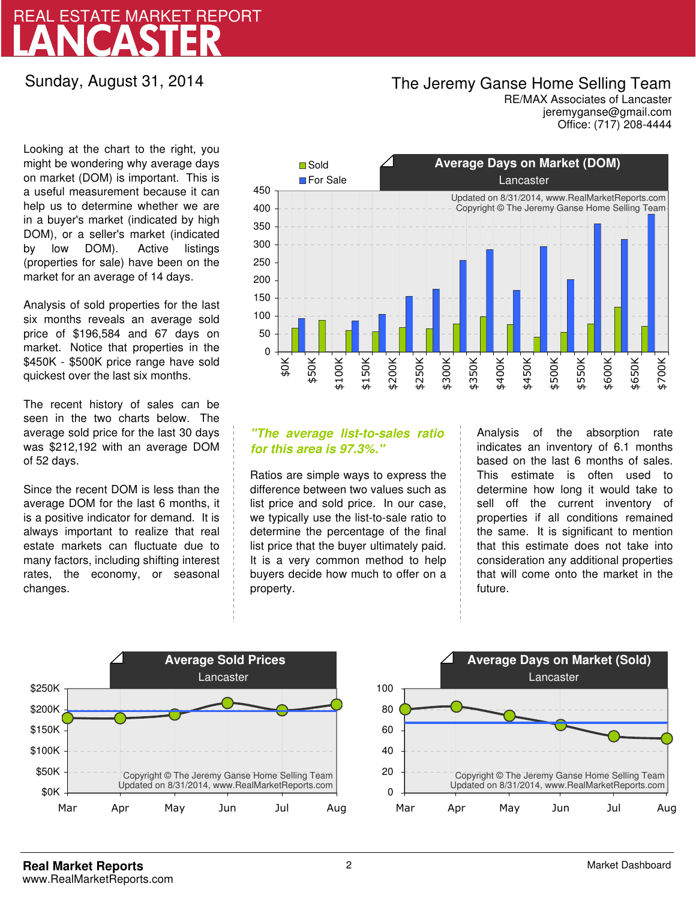# LANCASTER REAL ESTATE MARKET REPORT

## Sunday, August 31, 2014

# The Jeremy Ganse Home Selling Team

jeremyganse@gmail.com RE/MAX Associates of Lancaster Office: (717) 208-4444

Looking at the chart to the right, you might be wondering why average days on market (DOM) is important. This is a useful measurement because it can help us to determine whether we are in a buyer's market (indicated by high DOM), or a seller's market (indicated by low DOM). Active listings (properties for sale) have been on the market for an average of 14 days.

Analysis of sold properties for the last six months reveals an average sold price of \$196,584 and 67 days on market. Notice that properties in the \$450K - \$500K price range have sold quickest over the last six months.

The recent history of sales can be seen in the two charts below. The average sold price for the last 30 days was \$212,192 with an average DOM of 52 days.

Since the recent DOM is less than the average DOM for the last 6 months, it is a positive indicator for demand. It is always important to realize that real estate markets can fluctuate due to many factors, including shifting interest rates, the economy, or seasonal changes.



### **"The average list-to-sales ratio for this area is 97.3%."**

Ratios are simple ways to express the difference between two values such as list price and sold price. In our case, we typically use the list-to-sale ratio to determine the percentage of the final list price that the buyer ultimately paid. It is a very common method to help buyers decide how much to offer on a property.

Analysis of the absorption rate indicates an inventory of 6.1 months based on the last 6 months of sales. This estimate is often used to determine how long it would take to sell off the current inventory of properties if all conditions remained the same. It is significant to mention that this estimate does not take into consideration any additional properties that will come onto the market in the future.



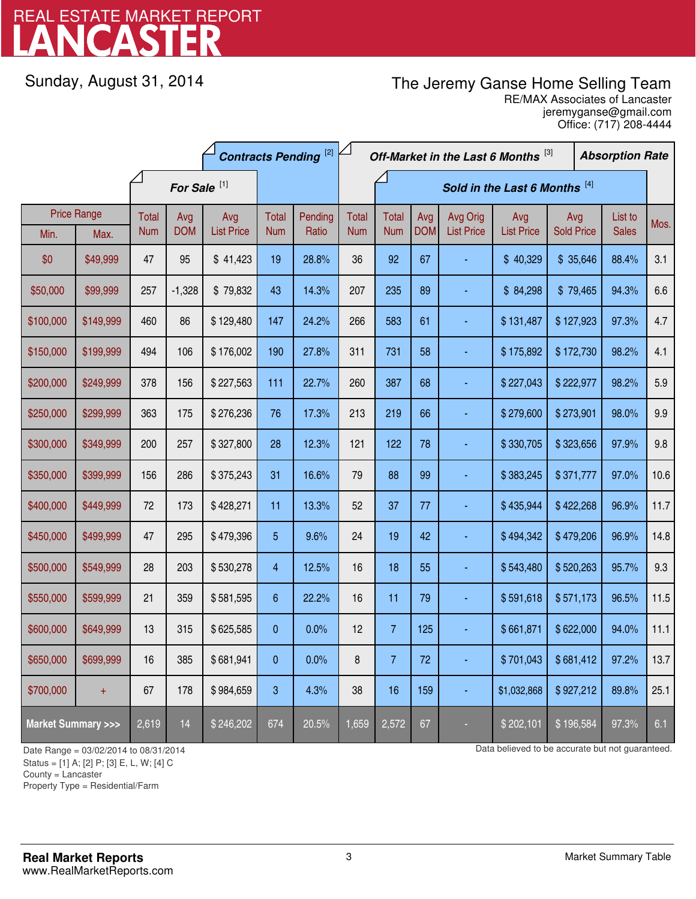# LANCASTER REAL ESTATE MARKET REPORT

Sunday, August 31, 2014

# The Jeremy Ganse Home Selling Team

jeremyganse@gmail.com RE/MAX Associates of Lancaster Office: (717) 208-4444

|                                    |           | <b>Contracts Pending [2]</b> |            |                   |            |         |                               | Off-Market in the Last 6 Months [3] |            |                   |                   |                   | <b>Absorption Rate</b> |              |      |
|------------------------------------|-----------|------------------------------|------------|-------------------|------------|---------|-------------------------------|-------------------------------------|------------|-------------------|-------------------|-------------------|------------------------|--------------|------|
|                                    |           | For Sale <sup>[1]</sup>      |            |                   |            |         | Sold in the Last 6 Months [4] |                                     |            |                   |                   |                   |                        |              |      |
| <b>Price Range</b>                 |           | Total                        | Avg        | Avg               | Total      | Pending | <b>Total</b>                  | <b>Total</b>                        | Avg        | Avg Orig          | Avg               | Avg               |                        | List to      | Mos. |
| Min.                               | Max.      | <b>Num</b>                   | <b>DOM</b> | <b>List Price</b> | <b>Num</b> | Ratio   | <b>Num</b>                    | <b>Num</b>                          | <b>DOM</b> | <b>List Price</b> | <b>List Price</b> | <b>Sold Price</b> |                        | <b>Sales</b> |      |
| \$0                                | \$49,999  | 47                           | 95         | \$41,423          | 19         | 28.8%   | 36                            | 92                                  | 67         |                   | \$40,329          | \$35,646          |                        | 88.4%        | 3.1  |
| \$50,000                           | \$99,999  | 257                          | $-1,328$   | \$79,832          | 43         | 14.3%   | 207                           | 235                                 | 89         |                   | \$84,298          | \$79,465          |                        | 94.3%        | 6.6  |
| \$100,000                          | \$149,999 | 460                          | 86         | \$129,480         | 147        | 24.2%   | 266                           | 583                                 | 61         |                   | \$131,487         | \$127,923         |                        | 97.3%        | 4.7  |
| \$150,000                          | \$199,999 | 494                          | 106        | \$176,002         | 190        | 27.8%   | 311                           | 731                                 | 58         |                   | \$175,892         | \$172,730         |                        | 98.2%        | 4.1  |
| \$200,000                          | \$249,999 | 378                          | 156        | \$227,563         | 111        | 22.7%   | 260                           | 387                                 | 68         |                   | \$227,043         | \$222,977         |                        | 98.2%        | 5.9  |
| \$250,000                          | \$299,999 | 363                          | 175        | \$276,236         | 76         | 17.3%   | 213                           | 219                                 | 66         |                   | \$279,600         | \$273,901         |                        | 98.0%        | 9.9  |
| \$300,000                          | \$349,999 | 200                          | 257        | \$327,800         | 28         | 12.3%   | 121                           | 122                                 | 78         |                   | \$330,705         | \$323,656         |                        | 97.9%        | 9.8  |
| \$350,000                          | \$399,999 | 156                          | 286        | \$375,243         | 31         | 16.6%   | 79                            | 88                                  | 99         |                   | \$383,245         | \$371,777         |                        | 97.0%        | 10.6 |
| \$400,000                          | \$449,999 | $72\,$                       | 173        | \$428,271         | 11         | 13.3%   | 52                            | 37                                  | 77         |                   | \$435,944         | \$422,268         |                        | 96.9%        | 11.7 |
| \$450,000                          | \$499,999 | 47                           | 295        | \$479,396         | 5          | 9.6%    | 24                            | 19                                  | 42         |                   | \$494,342         | \$479,206         |                        | 96.9%        | 14.8 |
| \$500,000                          | \$549,999 | 28                           | 203        | \$530,278         | 4          | 12.5%   | 16                            | 18                                  | 55         |                   | \$543,480         | \$520,263         |                        | 95.7%        | 9.3  |
| \$550,000                          | \$599,999 | 21                           | 359        | \$581,595         | 6          | 22.2%   | 16                            | 11                                  | 79         |                   | \$591,618         | \$571,173         |                        | 96.5%        | 11.5 |
| \$600,000                          | \$649,999 | 13                           | 315        | \$625,585         | 0          | 0.0%    | 12                            | $\overline{7}$                      | 125        |                   | \$661,871         | \$622,000         |                        | 94.0%        | 11.1 |
| \$650,000                          | \$699,999 | 16                           | 385        | \$681,941         | 0          | 0.0%    | 8                             | $\overline{7}$                      | 72         |                   | \$701,043         | \$681,412         |                        | 97.2%        | 13.7 |
| \$700,000                          | $+$       | 67                           | 178        | \$984,659         | 3          | 4.3%    | 38                            | 16                                  | 159        |                   | \$1,032,868       | \$927,212         |                        | 89.8%        | 25.1 |
| <b>Market Summary &gt;&gt;&gt;</b> |           | 2,619                        | 14         | \$246,202         | 674        | 20.5%   | 1,659                         | 2,572                               | 67         |                   | \$202,101         | \$196,584         |                        | 97.3%        | 6.1  |

Status = [1] A; [2] P; [3] E, L, W; [4] C

County = Lancaster

-

Property Type = Residential/Farm

Date Range = 03/02/2014 to 08/31/2014 control and the control of the Data believed to be accurate but not guaranteed.